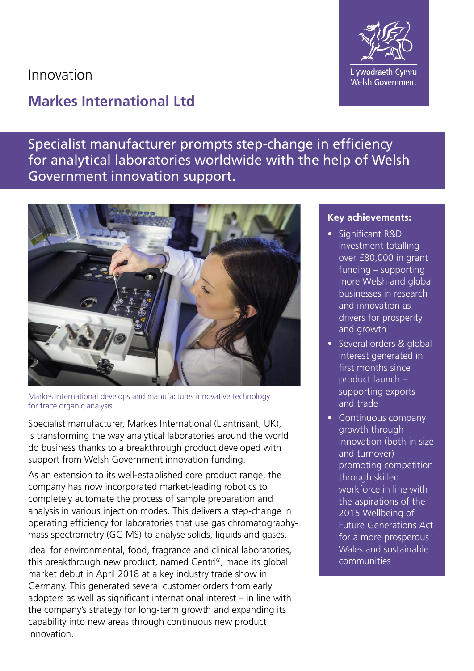## Innovation

## **Markes International Ltd**

Specialist manufacturer prompts step-change in efficiency for analytical laboratories worldwide with the help of Welsh Government innovation support.



Markes International develops and manufactures innovative technology for trace organic analysis

Specialist manufacturer, Markes International (Llantrisant, UK), is transforming the way analytical laboratories around the world do business thanks to a breakthrough product developed with support from Welsh Government innovation funding.

As an extension to its well-established core product range, the company has now incorporated market-leading robotics to completely automate the process of sample preparation and analysis in various injection modes. This delivers a step-change in operating efficiency for laboratories that use gas chromatographymass spectrometry (GC-MS) to analyse solids, liquids and gases.

Ideal for environmental, food, fragrance and clinical laboratories, this breakthrough new product, named Centri®, made its global market debut in April 2018 at a key industry trade show in Germany. This generated several customer orders from early adopters as well as significant international interest – in line with the company's strategy for long-term growth and expanding its capability into new areas through continuous new product innovation.

## **Key achievements:**

- Significant R&D investment totalling over £80,000 in grant funding – supporting more Welsh and global businesses in research and innovation as drivers for prosperity and growth
- Several orders & global interest generated in first months since product launch – supporting exports and trade
- Continuous company growth through innovation (both in size and turnover)  $$ promoting competition through skilled workforce in line with the aspirations of the 2015 Wellbeing of Future Generations Act for a more prosperous Wales and sustainable communities